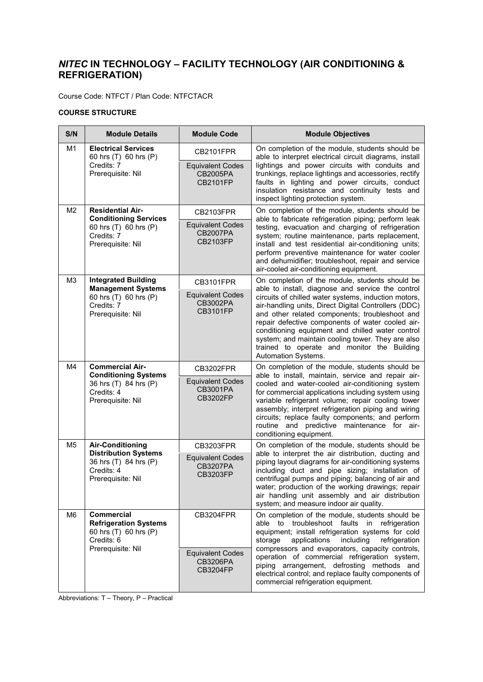## *NITEC* **IN TECHNOLOGY – FACILITY TECHNOLOGY (AIR CONDITIONING & REFRIGERATION)**

Course Code: NTFCT / Plan Code: NTFCTACR

## **COURSE STRUCTURE**

| S/N            | <b>Module Details</b>                                                                                              | <b>Module Code</b>                                            | <b>Module Objectives</b>                                                                                                                                                                                                                                                                                                                                                                                                                                                                                  |
|----------------|--------------------------------------------------------------------------------------------------------------------|---------------------------------------------------------------|-----------------------------------------------------------------------------------------------------------------------------------------------------------------------------------------------------------------------------------------------------------------------------------------------------------------------------------------------------------------------------------------------------------------------------------------------------------------------------------------------------------|
| M <sub>1</sub> | <b>Electrical Services</b><br>60 hrs (T) 60 hrs (P)<br>Credits: 7<br>Prerequisite: Nil                             | CB2101FPR                                                     | On completion of the module, students should be<br>able to interpret electrical circuit diagrams, install<br>lightings and power circuits with conduits and<br>trunkings, replace lightings and accessories, rectify<br>faults in lighting and power circuits, conduct<br>insulation resistance and continuity tests and<br>inspect lighting protection system.                                                                                                                                           |
|                |                                                                                                                    | <b>Equivalent Codes</b><br>CB2005PA<br><b>CB2101FP</b>        |                                                                                                                                                                                                                                                                                                                                                                                                                                                                                                           |
| M <sub>2</sub> | <b>Residential Air-</b><br><b>Conditioning Services</b>                                                            | <b>CB2103FPR</b>                                              | On completion of the module, students should be<br>able to fabricate refrigeration piping; perform leak<br>testing, evacuation and charging of refrigeration<br>system; routine maintenance, parts replacement,<br>install and test residential air-conditioning units;<br>perform preventive maintenance for water cooler<br>and dehumidifier; troubleshoot, repair and service<br>air-cooled air-conditioning equipment.                                                                                |
|                | 60 hrs (T) 60 hrs (P)<br>Credits: 7<br>Prerequisite: Nil                                                           | <b>Equivalent Codes</b><br><b>CB2007PA</b><br><b>CB2103FP</b> |                                                                                                                                                                                                                                                                                                                                                                                                                                                                                                           |
| M <sub>3</sub> | <b>Integrated Building</b><br><b>Management Systems</b>                                                            | CB3101FPR                                                     | On completion of the module, students should be<br>able to install, diagnose and service the control<br>circuits of chilled water systems, induction motors,<br>air-handling units, Direct Digital Controllers (DDC)<br>and other related components; troubleshoot and<br>repair defective components of water cooled air-<br>conditioning equipment and chilled water control<br>system; and maintain cooling tower. They are also<br>trained to operate and monitor the Building<br>Automation Systems. |
|                | 60 hrs (T) 60 hrs (P)<br>Credits: 7<br>Prerequisite: Nil                                                           | <b>Equivalent Codes</b><br>CB3002PA<br><b>CB3101FP</b>        |                                                                                                                                                                                                                                                                                                                                                                                                                                                                                                           |
| M4             | <b>Commercial Air-</b><br><b>Conditioning Systems</b><br>36 hrs (T) 84 hrs (P)<br>Credits: 4<br>Prerequisite: Nil  | CB3202FPR                                                     | On completion of the module, students should be<br>able to install, maintain, service and repair air-<br>cooled and water-cooled air-conditioning system<br>for commercial applications including system using<br>variable refrigerant volume; repair cooling tower<br>assembly; interpret refrigeration piping and wiring<br>circuits; replace faulty components; and perform<br>routine and predictive maintenance for air-<br>conditioning equipment.                                                  |
|                |                                                                                                                    | <b>Equivalent Codes</b><br><b>CB3001PA</b><br>CB3202FP        |                                                                                                                                                                                                                                                                                                                                                                                                                                                                                                           |
| M5             | <b>Air-Conditioning</b><br><b>Distribution Systems</b><br>36 hrs (T) 84 hrs (P)<br>Credits: 4<br>Prerequisite: Nil | <b>CB3203FPR</b>                                              | On completion of the module, students should be<br>able to interpret the air distribution, ducting and<br>piping layout diagrams for air-conditioning systems<br>including duct and pipe sizing; installation of<br>centrifugal pumps and piping; balancing of air and<br>water; production of the working drawings; repair<br>air handling unit assembly and air distribution<br>system; and measure indoor air quality.                                                                                 |
|                |                                                                                                                    | <b>Equivalent Codes</b><br><b>CB3207PA</b><br>CB3203FP        |                                                                                                                                                                                                                                                                                                                                                                                                                                                                                                           |
| M <sub>6</sub> | <b>Commercial</b><br><b>Refrigeration Systems</b><br>60 hrs (T) 60 hrs (P)<br>Credits: 6<br>Prerequisite: Nil      | CB3204FPR                                                     | On completion of the module, students should be<br>able to troubleshoot faults in refrigeration<br>equipment; install refrigeration systems for cold<br>including<br>storage<br>applications<br>refrigeration<br>compressors and evaporators, capacity controls,<br>operation of commercial refrigeration system,<br>piping arrangement, defrosting methods and<br>electrical control; and replace faulty components of<br>commercial refrigeration equipment.                                            |
|                |                                                                                                                    | <b>Equivalent Codes</b><br><b>CB3206PA</b><br><b>CB3204FP</b> |                                                                                                                                                                                                                                                                                                                                                                                                                                                                                                           |

Abbreviations: T – Theory, P – Practical